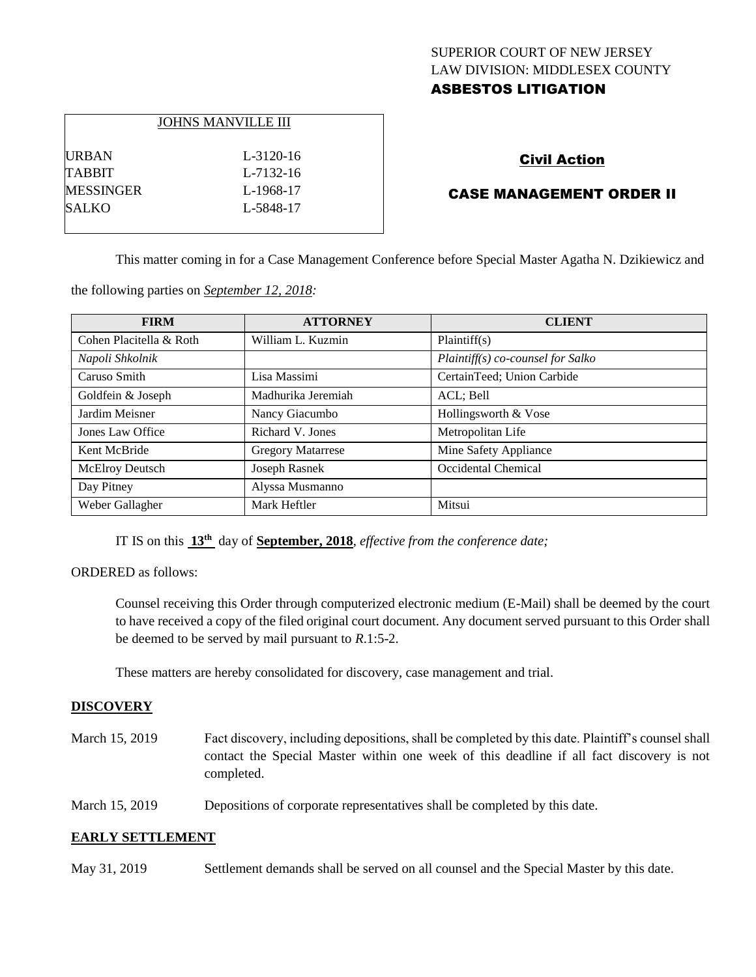# SUPERIOR COURT OF NEW JERSEY LAW DIVISION: MIDDLESEX COUNTY ASBESTOS LITIGATION

|                  | <b>JOHNS MANVILLE III</b> |
|------------------|---------------------------|
| <b>URBAN</b>     | $L - 3120 - 16$           |
| <b>TABBIT</b>    | L <sub>-7132-16</sub>     |
| <b>MESSINGER</b> | L-1968-17                 |
| <b>SALKO</b>     | L-5848-17                 |
|                  |                           |

# Civil Action

### CASE MANAGEMENT ORDER II

This matter coming in for a Case Management Conference before Special Master Agatha N. Dzikiewicz and

the following parties on *September 12, 2018:*

| <b>FIRM</b>             | <b>ATTORNEY</b>          | <b>CLIENT</b>                      |
|-------------------------|--------------------------|------------------------------------|
| Cohen Placitella & Roth | William L. Kuzmin        | Plaintiff(s)                       |
| Napoli Shkolnik         |                          | $Plaintiff(s) co-course for Salko$ |
| Caruso Smith            | Lisa Massimi             | CertainTeed; Union Carbide         |
| Goldfein & Joseph       | Madhurika Jeremiah       | ACL; Bell                          |
| Jardim Meisner          | Nancy Giacumbo           | Hollingsworth & Vose               |
| Jones Law Office        | Richard V. Jones         | Metropolitan Life                  |
| Kent McBride            | <b>Gregory Matarrese</b> | Mine Safety Appliance              |
| <b>McElroy Deutsch</b>  | Joseph Rasnek            | Occidental Chemical                |
| Day Pitney              | Alyssa Musmanno          |                                    |
| Weber Gallagher         | Mark Heftler             | Mitsui                             |

IT IS on this  $13<sup>th</sup>$  day of **September, 2018**, *effective from the conference date*;

### ORDERED as follows:

Counsel receiving this Order through computerized electronic medium (E-Mail) shall be deemed by the court to have received a copy of the filed original court document. Any document served pursuant to this Order shall be deemed to be served by mail pursuant to *R*.1:5-2.

These matters are hereby consolidated for discovery, case management and trial.

### **DISCOVERY**

- March 15, 2019 Fact discovery, including depositions, shall be completed by this date. Plaintiff's counsel shall contact the Special Master within one week of this deadline if all fact discovery is not completed.
- March 15, 2019 Depositions of corporate representatives shall be completed by this date.

### **EARLY SETTLEMENT**

May 31, 2019 Settlement demands shall be served on all counsel and the Special Master by this date.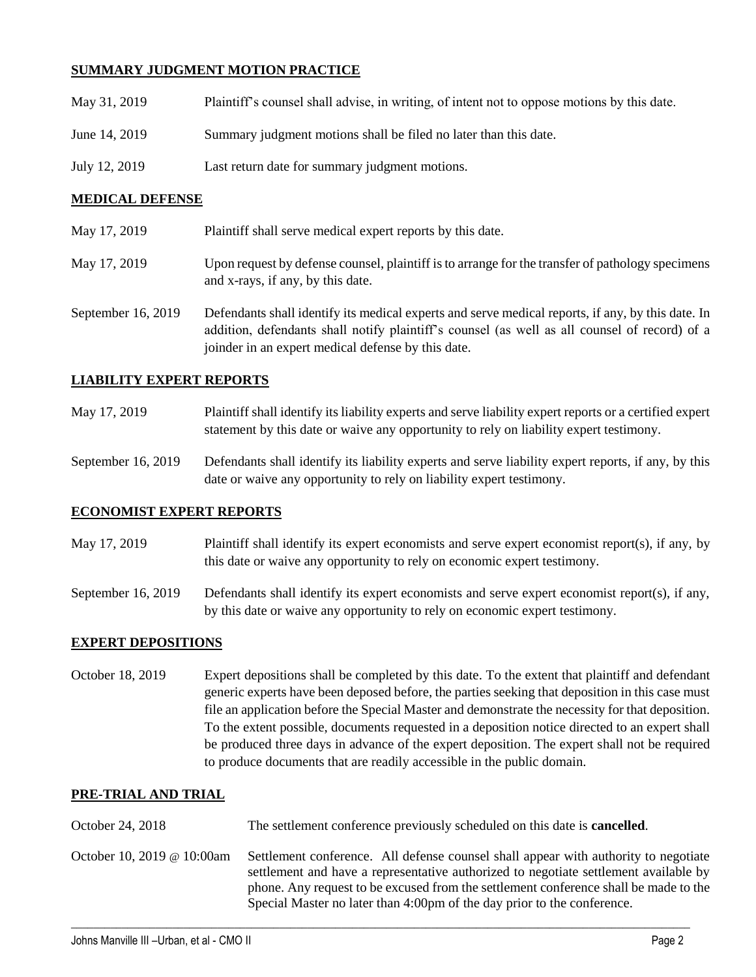# **SUMMARY JUDGMENT MOTION PRACTICE**

| May 31, 2019  | Plaintiff's counsel shall advise, in writing, of intent not to oppose motions by this date. |
|---------------|---------------------------------------------------------------------------------------------|
| June 14, 2019 | Summary judgment motions shall be filed no later than this date.                            |
| July 12, 2019 | Last return date for summary judgment motions.                                              |

### **MEDICAL DEFENSE**

- May 17, 2019 Plaintiff shall serve medical expert reports by this date. May 17, 2019 Upon request by defense counsel, plaintiff is to arrange for the transfer of pathology specimens and x-rays, if any, by this date.
- September 16, 2019 Defendants shall identify its medical experts and serve medical reports, if any, by this date. In addition, defendants shall notify plaintiff's counsel (as well as all counsel of record) of a joinder in an expert medical defense by this date.

### **LIABILITY EXPERT REPORTS**

- May 17, 2019 Plaintiff shall identify its liability experts and serve liability expert reports or a certified expert statement by this date or waive any opportunity to rely on liability expert testimony.
- September 16, 2019 Defendants shall identify its liability experts and serve liability expert reports, if any, by this date or waive any opportunity to rely on liability expert testimony.

### **ECONOMIST EXPERT REPORTS**

- May 17, 2019 Plaintiff shall identify its expert economists and serve expert economist report(s), if any, by this date or waive any opportunity to rely on economic expert testimony.
- September 16, 2019 Defendants shall identify its expert economists and serve expert economist report(s), if any, by this date or waive any opportunity to rely on economic expert testimony.

### **EXPERT DEPOSITIONS**

October 18, 2019 Expert depositions shall be completed by this date. To the extent that plaintiff and defendant generic experts have been deposed before, the parties seeking that deposition in this case must file an application before the Special Master and demonstrate the necessity for that deposition. To the extent possible, documents requested in a deposition notice directed to an expert shall be produced three days in advance of the expert deposition. The expert shall not be required to produce documents that are readily accessible in the public domain.

### **PRE-TRIAL AND TRIAL**

| October 24, 2018           | The settlement conference previously scheduled on this date is <b>cancelled</b> .                                                                                                                                                                                                                                                              |
|----------------------------|------------------------------------------------------------------------------------------------------------------------------------------------------------------------------------------------------------------------------------------------------------------------------------------------------------------------------------------------|
| October 10, 2019 @ 10:00am | Settlement conference. All defense counsel shall appear with authority to negotiate<br>settlement and have a representative authorized to negotiate settlement available by<br>phone. Any request to be excused from the settlement conference shall be made to the<br>Special Master no later than 4:00pm of the day prior to the conference. |

 $\_$  ,  $\_$  ,  $\_$  ,  $\_$  ,  $\_$  ,  $\_$  ,  $\_$  ,  $\_$  ,  $\_$  ,  $\_$  ,  $\_$  ,  $\_$  ,  $\_$  ,  $\_$  ,  $\_$  ,  $\_$  ,  $\_$  ,  $\_$  ,  $\_$  ,  $\_$  ,  $\_$  ,  $\_$  ,  $\_$  ,  $\_$  ,  $\_$  ,  $\_$  ,  $\_$  ,  $\_$  ,  $\_$  ,  $\_$  ,  $\_$  ,  $\_$  ,  $\_$  ,  $\_$  ,  $\_$  ,  $\_$  ,  $\_$  ,